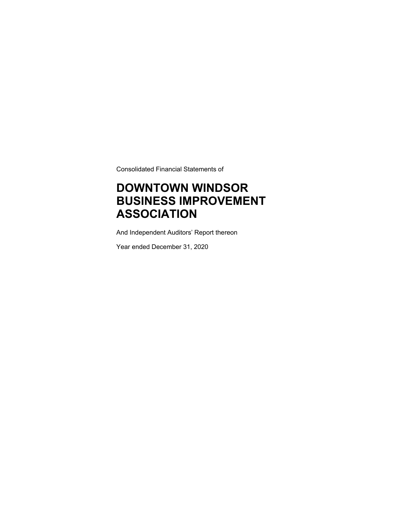Consolidated Financial Statements of

## **DOWNTOWN WINDSOR BUSINESS IMPROVEMENT ASSOCIATION**

And Independent Auditors' Report thereon

Year ended December 31, 2020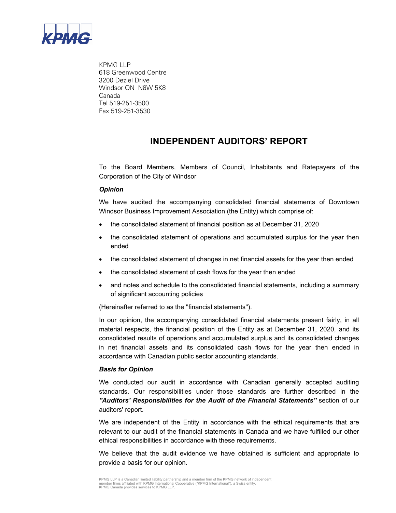

KPMG LLP 618 Greenwood Centre 3200 Deziel Drive Windsor ON N8W 5K8 Canada Tel 519-251-3500 Fax 519-251-3530

### **INDEPENDENT AUDITORS' REPORT**

To the Board Members, Members of Council, Inhabitants and Ratepayers of the Corporation of the City of Windsor

#### *Opinion*

We have audited the accompanying consolidated financial statements of Downtown Windsor Business Improvement Association (the Entity) which comprise of:

- the consolidated statement of financial position as at December 31, 2020
- the consolidated statement of operations and accumulated surplus for the year then ended
- the consolidated statement of changes in net financial assets for the year then ended
- the consolidated statement of cash flows for the year then ended
- and notes and schedule to the consolidated financial statements, including a summary of significant accounting policies

(Hereinafter referred to as the ''financial statements'').

In our opinion, the accompanying consolidated financial statements present fairly, in all material respects, the financial position of the Entity as at December 31, 2020, and its consolidated results of operations and accumulated surplus and its consolidated changes in net financial assets and its consolidated cash flows for the year then ended in accordance with Canadian public sector accounting standards.

#### *Basis for Opinion*

We conducted our audit in accordance with Canadian generally accepted auditing standards. Our responsibilities under those standards are further described in the *''Auditors' Responsibilities for the Audit of the Financial Statements''* section of our auditors' report.

We are independent of the Entity in accordance with the ethical requirements that are relevant to our audit of the financial statements in Canada and we have fulfilled our other ethical responsibilities in accordance with these requirements.

We believe that the audit evidence we have obtained is sufficient and appropriate to provide a basis for our opinion.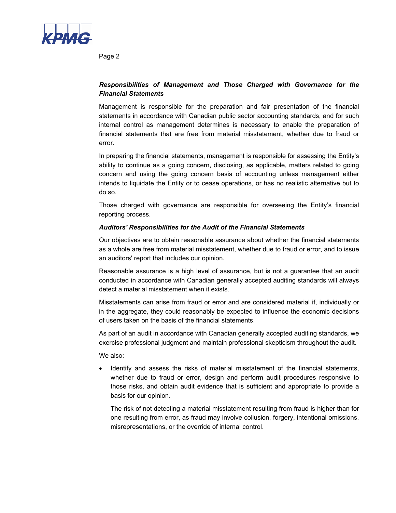

Page 2

### *Responsibilities of Management and Those Charged with Governance for the Financial Statements*

Management is responsible for the preparation and fair presentation of the financial statements in accordance with Canadian public sector accounting standards, and for such internal control as management determines is necessary to enable the preparation of financial statements that are free from material misstatement, whether due to fraud or error.

In preparing the financial statements, management is responsible for assessing the Entity's ability to continue as a going concern, disclosing, as applicable, matters related to going concern and using the going concern basis of accounting unless management either intends to liquidate the Entity or to cease operations, or has no realistic alternative but to do so.

Those charged with governance are responsible for overseeing the Entity's financial reporting process.

#### *Auditors' Responsibilities for the Audit of the Financial Statements*

Our objectives are to obtain reasonable assurance about whether the financial statements as a whole are free from material misstatement, whether due to fraud or error, and to issue an auditors' report that includes our opinion.

Reasonable assurance is a high level of assurance, but is not a guarantee that an audit conducted in accordance with Canadian generally accepted auditing standards will always detect a material misstatement when it exists.

Misstatements can arise from fraud or error and are considered material if, individually or in the aggregate, they could reasonably be expected to influence the economic decisions of users taken on the basis of the financial statements.

As part of an audit in accordance with Canadian generally accepted auditing standards, we exercise professional judgment and maintain professional skepticism throughout the audit.

We also:

 Identify and assess the risks of material misstatement of the financial statements, whether due to fraud or error, design and perform audit procedures responsive to those risks, and obtain audit evidence that is sufficient and appropriate to provide a basis for our opinion.

The risk of not detecting a material misstatement resulting from fraud is higher than for one resulting from error, as fraud may involve collusion, forgery, intentional omissions, misrepresentations, or the override of internal control.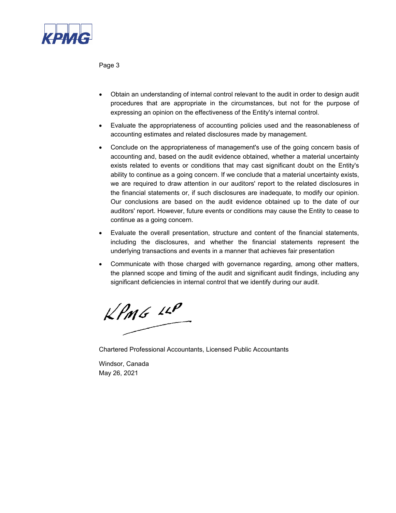

Page 3

- Obtain an understanding of internal control relevant to the audit in order to design audit procedures that are appropriate in the circumstances, but not for the purpose of expressing an opinion on the effectiveness of the Entity's internal control.
- Evaluate the appropriateness of accounting policies used and the reasonableness of accounting estimates and related disclosures made by management.
- Conclude on the appropriateness of management's use of the going concern basis of accounting and, based on the audit evidence obtained, whether a material uncertainty exists related to events or conditions that may cast significant doubt on the Entity's ability to continue as a going concern. If we conclude that a material uncertainty exists, we are required to draw attention in our auditors' report to the related disclosures in the financial statements or, if such disclosures are inadequate, to modify our opinion. Our conclusions are based on the audit evidence obtained up to the date of our auditors' report. However, future events or conditions may cause the Entity to cease to continue as a going concern.
- Evaluate the overall presentation, structure and content of the financial statements, including the disclosures, and whether the financial statements represent the underlying transactions and events in a manner that achieves fair presentation
- Communicate with those charged with governance regarding, among other matters, the planned scope and timing of the audit and significant audit findings, including any significant deficiencies in internal control that we identify during our audit.

 $KPMG$  14P

Chartered Professional Accountants, Licensed Public Accountants

Windsor, Canada May 26, 2021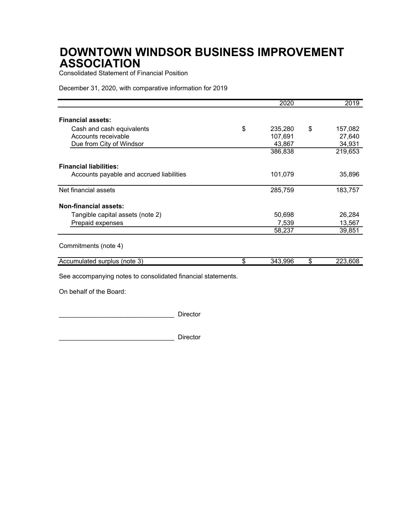Consolidated Statement of Financial Position

December 31, 2020, with comparative information for 2019

|                                                              | 2020          | 2019          |
|--------------------------------------------------------------|---------------|---------------|
| <b>Financial assets:</b>                                     |               |               |
| Cash and cash equivalents                                    | \$<br>235,280 | \$<br>157,082 |
| Accounts receivable                                          | 107,691       | 27,640        |
| Due from City of Windsor                                     | 43,867        | 34,931        |
|                                                              | 386,838       | 219,653       |
| <b>Financial liabilities:</b>                                |               |               |
| Accounts payable and accrued liabilities                     | 101,079       | 35,896        |
| Net financial assets                                         | 285,759       | 183,757       |
| <b>Non-financial assets:</b>                                 |               |               |
| Tangible capital assets (note 2)                             | 50,698        | 26,284        |
| Prepaid expenses                                             | 7,539         | 13,567        |
|                                                              | 58,237        | 39,851        |
| Commitments (note 4)                                         |               |               |
| Accumulated surplus (note 3)                                 | \$<br>343,996 | \$<br>223,608 |
| See accompanying notes to consolidated financial statements. |               |               |

On behalf of the Board:

\_\_\_\_\_\_\_\_\_\_\_\_\_\_\_\_\_\_\_\_\_\_\_\_\_\_\_\_\_\_\_\_ Director

\_\_\_\_\_\_\_\_\_\_\_\_\_\_\_\_\_\_\_\_\_\_\_\_\_\_\_\_\_\_\_\_ Director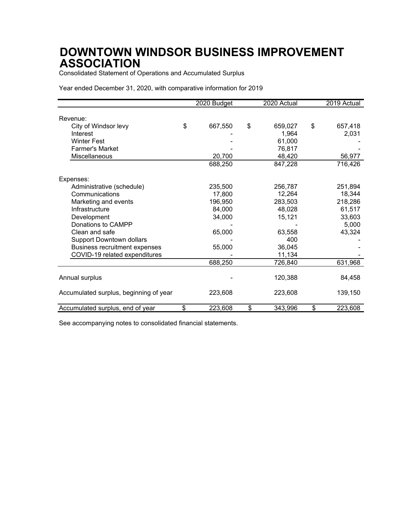Consolidated Statement of Operations and Accumulated Surplus

Year ended December 31, 2020, with comparative information for 2019

|                                        | 2020 Budget   | 2020 Actual   | 2019 Actual   |
|----------------------------------------|---------------|---------------|---------------|
|                                        |               |               |               |
| Revenue:                               |               |               |               |
| City of Windsor levy                   | \$<br>667,550 | \$<br>659,027 | \$<br>657,418 |
| Interest                               |               | 1,964         | 2,031         |
| <b>Winter Fest</b>                     |               | 61,000        |               |
| <b>Farmer's Market</b>                 |               | 76,817        |               |
| Miscellaneous                          | 20,700        | 48,420        | 56,977        |
|                                        | 688,250       | 847,228       | 716,426       |
| Expenses:                              |               |               |               |
| Administrative (schedule)              | 235,500       | 256,787       | 251,894       |
| Communications                         | 17,800        | 12,264        | 18,344        |
| Marketing and events                   | 196,950       | 283,503       | 218,286       |
| Infrastructure                         | 84,000        | 48,028        | 61,517        |
| Development                            | 34,000        | 15,121        | 33,603        |
| Donations to CAMPP                     |               |               | 5,000         |
| Clean and safe                         | 65,000        | 63,558        | 43,324        |
| <b>Support Downtown dollars</b>        |               | 400           |               |
| <b>Business recruitment expenses</b>   | 55,000        | 36,045        |               |
| COVID-19 related expenditures          |               | 11,134        |               |
|                                        | 688,250       | 726,840       | 631,968       |
| Annual surplus                         |               | 120,388       | 84,458        |
| Accumulated surplus, beginning of year | 223,608       | 223,608       | 139,150       |
| Accumulated surplus, end of year       | \$<br>223,608 | \$<br>343,996 | \$<br>223,608 |

See accompanying notes to consolidated financial statements.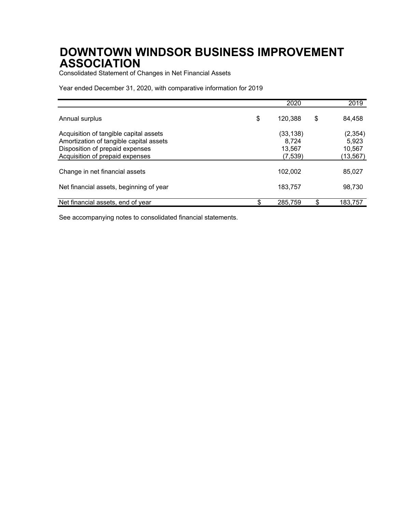Consolidated Statement of Changes in Net Financial Assets

Year ended December 31, 2020, with comparative information for 2019

|                                                                                                                                                         | 2020                                   | 2019                                    |
|---------------------------------------------------------------------------------------------------------------------------------------------------------|----------------------------------------|-----------------------------------------|
| Annual surplus                                                                                                                                          | \$<br>120,388                          | \$<br>84,458                            |
| Acquisition of tangible capital assets<br>Amortization of tangible capital assets<br>Disposition of prepaid expenses<br>Acquisition of prepaid expenses | (33,138)<br>8,724<br>13,567<br>(7,539) | (2, 354)<br>5,923<br>10,567<br>(13,567) |
| Change in net financial assets                                                                                                                          | 102,002                                | 85,027                                  |
| Net financial assets, beginning of year                                                                                                                 | 183,757                                | 98,730                                  |
| Net financial assets, end of year                                                                                                                       | 285,759                                | 183,757                                 |

See accompanying notes to consolidated financial statements.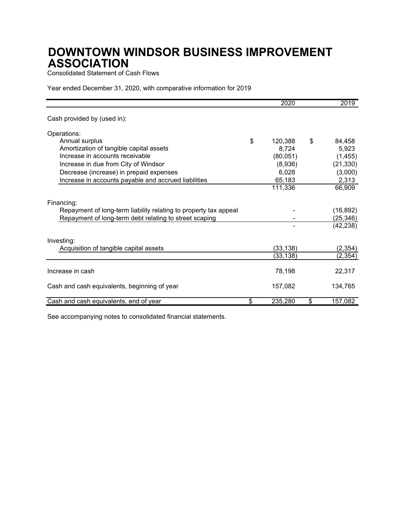Consolidated Statement of Cash Flows

Year ended December 31, 2020, with comparative information for 2019

|                                                                  | 2020          | 2019                   |
|------------------------------------------------------------------|---------------|------------------------|
| Cash provided by (used in):                                      |               |                        |
| Operations:                                                      |               |                        |
| Annual surplus                                                   | \$<br>120,388 | \$<br>84,458           |
| Amortization of tangible capital assets                          | 8,724         | 5,923                  |
| Increase in accounts receivable                                  | (80, 051)     | (1, 455)               |
| Increase in due from City of Windsor                             | (8,936)       | (21, 330)              |
| Decrease (increase) in prepaid expenses                          | 6,028         | (3,000)                |
| Increase in accounts payable and accrued liabilities             | 65,183        | 2,313                  |
|                                                                  | 111,336       | 66,909                 |
|                                                                  |               |                        |
| Financing:                                                       |               |                        |
| Repayment of long-term liability relating to property tax appeal |               | (16, 892)              |
| Repayment of long-term debt relating to street scaping           |               | (25, 346)<br>(42, 238) |
|                                                                  |               |                        |
| Investing:                                                       |               |                        |
| Acquisition of tangible capital assets                           | (33, 138)     | (2, 354)               |
|                                                                  | (33,138)      | (2,354)                |
|                                                                  |               |                        |
| Increase in cash                                                 | 78,198        | 22,317                 |
| Cash and cash equivalents, beginning of year                     | 157,082       | 134,765                |
| Cash and cash equivalents, end of year                           | \$<br>235,280 | \$<br>157,082          |

See accompanying notes to consolidated financial statements.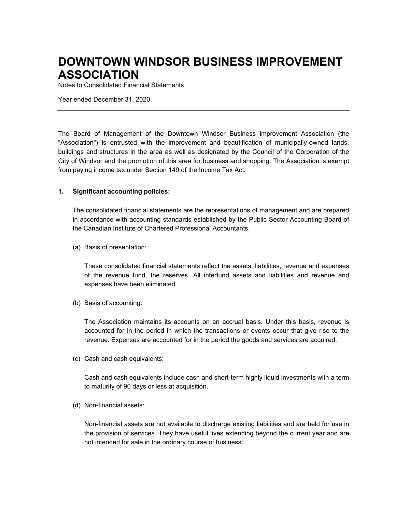Notes to Consolidated Financial Statements

Year ended December 31, 2020

The Board of Management of the Downtown Windsor Business improvement Association (the "Association") is entrusted with the improvement and beautification of municipally-owned lands, buildings and structures in the area as well as designated by the Council of the Corporation of the City of Windsor and the promotion of this area for business and shopping. The Association is exempt from paying income tax under Section 149 of the Income Tax Act.

#### **1. Significant accounting policies:**

The consolidated financial statements are the representations of management and are prepared in accordance with accounting standards established by the Public Sector Accounting Board of the Canadian Institute of Chartered Professional Accountants.

(a) Basis of presentation:

These consolidated financial statements reflect the assets, liabilities, revenue and expenses of the revenue fund, the reserves. All interfund assets and liabilities and revenue and expenses have been eliminated.

(b) Basis of accounting:

The Association maintains its accounts on an accrual basis. Under this basis, revenue is accounted for in the period in which the transactions or events occur that give rise to the revenue. Expenses are accounted for in the period the goods and services are acquired.

(c) Cash and cash equivalents:

Cash and cash equivalents include cash and short-term highly liquid investments with a term to maturity of 90 days or less at acquisition.

(d) Non-financial assets:

Non-financial assets are not available to discharge existing liabilities and are held for use in the provision of services. They have useful lives extending beyond the current year and are not intended for sale in the ordinary course of business.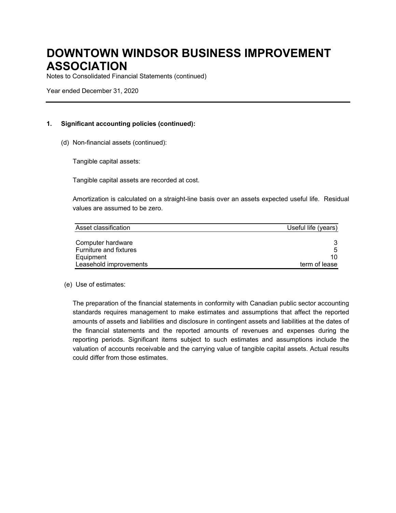Notes to Consolidated Financial Statements (continued)

Year ended December 31, 2020

### **1. Significant accounting policies (continued):**

(d) Non-financial assets (continued):

Tangible capital assets:

Tangible capital assets are recorded at cost.

Amortization is calculated on a straight-line basis over an assets expected useful life. Residual values are assumed to be zero.

| Asset classification   | Useful life (years) |
|------------------------|---------------------|
|                        |                     |
| Computer hardware      |                     |
| Furniture and fixtures | 5                   |
| Equipment              | 10                  |
| Leasehold improvements | term of lease       |

#### (e) Use of estimates:

The preparation of the financial statements in conformity with Canadian public sector accounting standards requires management to make estimates and assumptions that affect the reported amounts of assets and liabilities and disclosure in contingent assets and liabilities at the dates of the financial statements and the reported amounts of revenues and expenses during the reporting periods. Significant items subject to such estimates and assumptions include the valuation of accounts receivable and the carrying value of tangible capital assets. Actual results could differ from those estimates.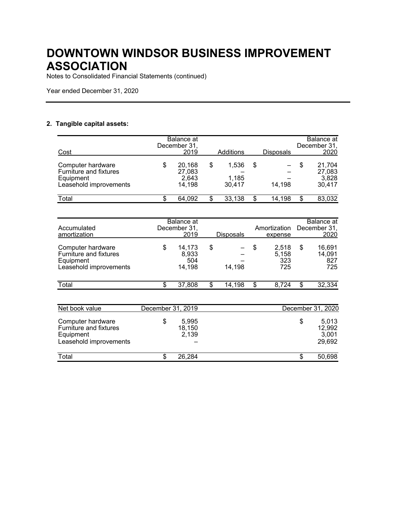Notes to Consolidated Financial Statements (continued)

Year ended December 31, 2020

### **2. Tangible capital assets:**

| Cost                                                                                      |   | Balance at<br>December 31,<br>2019  | Additions                      |   | <b>Disposals</b> | Balance at<br>December 31,<br>2020        |
|-------------------------------------------------------------------------------------------|---|-------------------------------------|--------------------------------|---|------------------|-------------------------------------------|
| Computer hardware<br><b>Furniture and fixtures</b><br>Equipment<br>Leasehold improvements | S | 20.168<br>27,083<br>2.643<br>14,198 | \$<br>1,536<br>1,185<br>30,417 | S | 14,198           | \$<br>21,704<br>27,083<br>3,828<br>30,417 |
| Total                                                                                     |   | 64,092                              | 33,138                         | S | 14,198           | \$<br>83,032                              |

|              |                                                                                             |        |                            |       |                                       | Balance at              |
|--------------|---------------------------------------------------------------------------------------------|--------|----------------------------|-------|---------------------------------------|-------------------------|
|              |                                                                                             |        |                            |       |                                       | December 31,<br>2020    |
|              |                                                                                             |        |                            |       |                                       |                         |
| \$<br>14,173 | \$                                                                                          |        | \$                         | 2,518 | \$                                    | 16,691                  |
| 8,933        |                                                                                             |        |                            | 5,158 |                                       | 14,091                  |
|              |                                                                                             |        |                            |       |                                       | 827                     |
|              |                                                                                             |        |                            |       |                                       | 725                     |
|              |                                                                                             |        |                            |       |                                       |                         |
| \$<br>37,808 | \$                                                                                          | 14,198 | \$                         | 8,724 | \$                                    | 32,334                  |
|              |                                                                                             |        |                            |       |                                       |                         |
|              |                                                                                             |        |                            |       |                                       |                         |
|              |                                                                                             |        |                            |       |                                       |                         |
|              |                                                                                             |        |                            |       |                                       | 5,013                   |
|              |                                                                                             |        |                            |       |                                       | 12,992                  |
| 2,139        |                                                                                             |        |                            |       |                                       | 3,001                   |
|              |                                                                                             |        |                            |       |                                       | 29,692                  |
| \$           | Balance at<br>December 31,<br>2019<br>504<br>14,198<br>December 31, 2019<br>5,995<br>18,150 |        | <b>Disposals</b><br>14.198 |       | Amortization<br>expense<br>323<br>725 | December 31, 2020<br>\$ |

Total \$ 26,284 \$ 50,698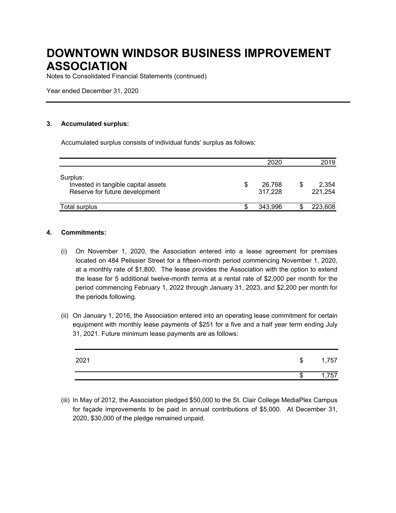Notes to Consolidated Financial Statements (continued)

Year ended December 31, 2020

### **3. Accumulated surplus:**

Accumulated surplus consists of individual funds' surplus as follows:

|                                                                                   |   | 2020              | 2019             |
|-----------------------------------------------------------------------------------|---|-------------------|------------------|
| Surplus:<br>Invested in tangible capital assets<br>Reserve for future development | S | 26,768<br>317,228 | 2,354<br>221,254 |
| Total surplus                                                                     |   | 343.996           | 223,608          |

### **4. Commitments:**

- (i) On November 1, 2020, the Association entered into a lease agreement for premises located on 484 Pelissier Street for a fifteen-month period commencing November 1, 2020, at a monthly rate of \$1,800. The lease provides the Association with the option to extend the lease for 5 additional twelve-month terms at a rental rate of \$2,000 per month for the period commencing February 1, 2022 through January 31, 2023, and \$2,200 per month for the periods following.
- (ii) On January 1, 2016, the Association entered into an operating lease commitment for certain equipment with monthly lease payments of \$251 for a five and a half year term ending July 31, 2021. Future minimum lease payments are as follows:

| 2021 | \$      | 1,757               |
|------|---------|---------------------|
|      | æ<br>кD | 757<br>$1,1 \cup I$ |

(iii) In May of 2012, the Association pledged \$50,000 to the St. Clair College MediaPlex Campus for façade improvements to be paid in annual contributions of \$5,000. At December 31, 2020, \$30,000 of the pledge remained unpaid.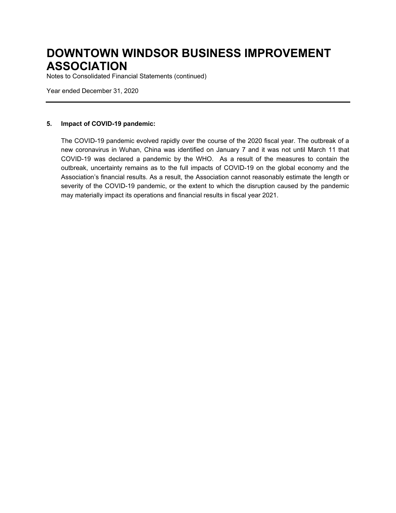Notes to Consolidated Financial Statements (continued)

Year ended December 31, 2020

### **5. Impact of COVID-19 pandemic:**

The COVID-19 pandemic evolved rapidly over the course of the 2020 fiscal year. The outbreak of a new coronavirus in Wuhan, China was identified on January 7 and it was not until March 11 that COVID-19 was declared a pandemic by the WHO. As a result of the measures to contain the outbreak, uncertainty remains as to the full impacts of COVID-19 on the global economy and the Association's financial results. As a result, the Association cannot reasonably estimate the length or severity of the COVID-19 pandemic, or the extent to which the disruption caused by the pandemic may materially impact its operations and financial results in fiscal year 2021.